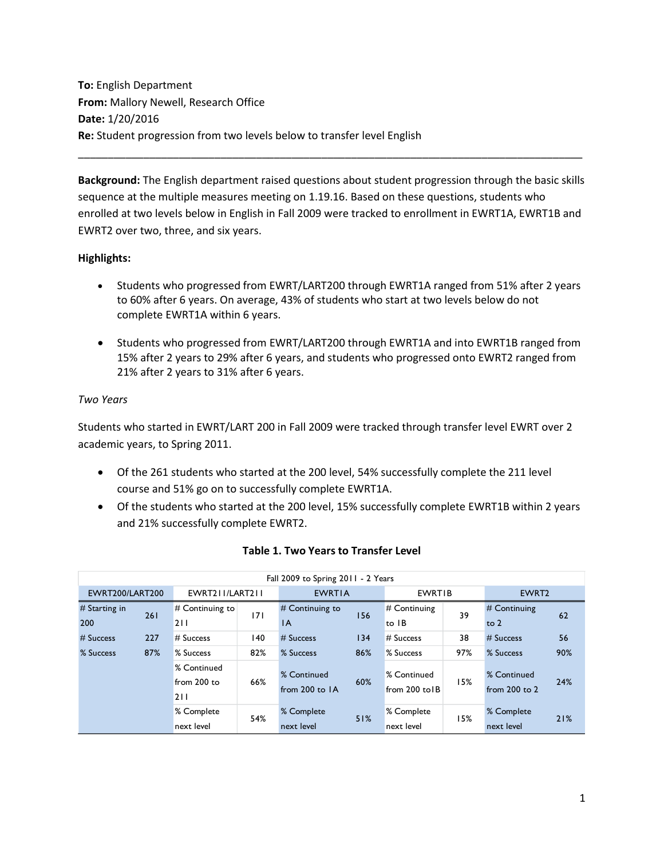**To:** English Department **From:** Mallory Newell, Research Office **Date:** 1/20/2016 **Re:** Student progression from two levels below to transfer level English

**Background:** The English department raised questions about student progression through the basic skills sequence at the multiple measures meeting on 1.19.16. Based on these questions, students who enrolled at two levels below in English in Fall 2009 were tracked to enrollment in EWRT1A, EWRT1B and EWRT2 over two, three, and six years.

\_\_\_\_\_\_\_\_\_\_\_\_\_\_\_\_\_\_\_\_\_\_\_\_\_\_\_\_\_\_\_\_\_\_\_\_\_\_\_\_\_\_\_\_\_\_\_\_\_\_\_\_\_\_\_\_\_\_\_\_\_\_\_\_\_\_\_\_\_\_\_\_\_\_\_\_\_\_\_\_\_\_\_\_\_

# **Highlights:**

- Students who progressed from EWRT/LART200 through EWRT1A ranged from 51% after 2 years to 60% after 6 years. On average, 43% of students who start at two levels below do not complete EWRT1A within 6 years.
- Students who progressed from EWRT/LART200 through EWRT1A and into EWRT1B ranged from 15% after 2 years to 29% after 6 years, and students who progressed onto EWRT2 ranged from 21% after 2 years to 31% after 6 years.

## *Two Years*

Students who started in EWRT/LART 200 in Fall 2009 were tracked through transfer level EWRT over 2 academic years, to Spring 2011.

- Of the 261 students who started at the 200 level, 54% successfully complete the 211 level course and 51% go on to successfully complete EWRT1A.
- Of the students who started at the 200 level, 15% successfully complete EWRT1B within 2 years and 21% successfully complete EWRT2.

| Fall 2009 to Spring 2011 - 2 Years |     |                                   |     |                                   |     |                              |     |                              |     |
|------------------------------------|-----|-----------------------------------|-----|-----------------------------------|-----|------------------------------|-----|------------------------------|-----|
| EWRT200/LART200                    |     | EWRT211/LART211                   |     | EWRTIA                            |     | <b>EWRTIB</b>                |     | EWRT <sub>2</sub>            |     |
| # Starting in<br>200               | 261 | $#$ Continuing to<br>211          | 7   | # Continuing to<br>$\overline{A}$ | 156 | $#$ Continuing<br>to IB      | 39  | $#$ Continuing<br>to $2$     | 62  |
| # Success                          | 227 | # Success                         | 140 | # Success                         | 134 | $#$ Success                  | 38  | # Success                    | 56  |
| % Success                          | 87% | % Success                         | 82% | % Success                         | 86% | % Success                    | 97% | % Success                    | 90% |
|                                    |     | % Continued<br>from 200 to<br>211 | 66% | % Continued<br>from $200$ to $IA$ | 60% | % Continued<br>from 200 to B | 15% | % Continued<br>from 200 to 2 | 24% |
|                                    |     | % Complete<br>next level          | 54% | % Complete<br>next level          | 51% | % Complete<br>next level     | 15% | % Complete<br>next level     | 21% |

#### **Table 1. Two Years to Transfer Level**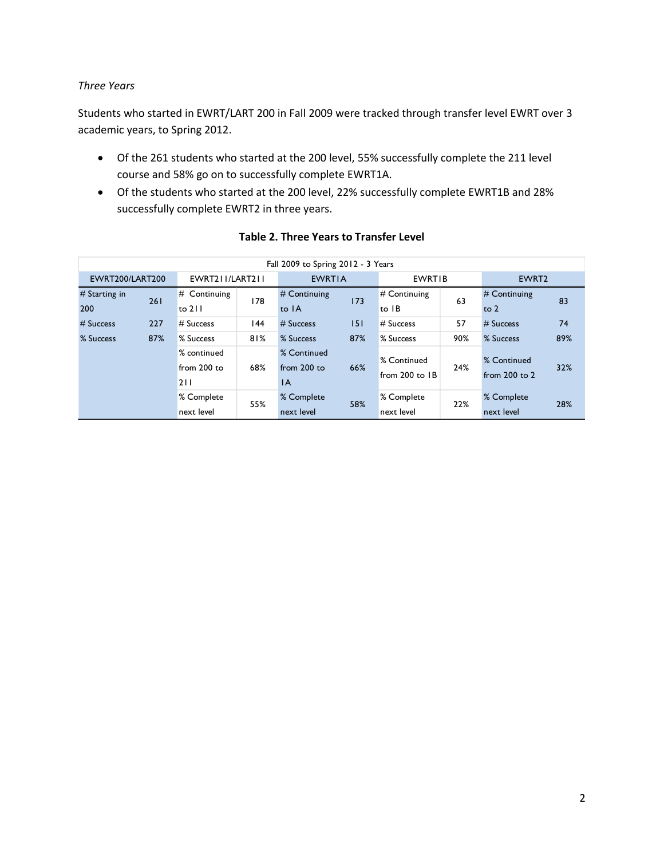## *Three Years*

Students who started in EWRT/LART 200 in Fall 2009 were tracked through transfer level EWRT over 3 academic years, to Spring 2012.

- Of the 261 students who started at the 200 level, 55% successfully complete the 211 level course and 58% go on to successfully complete EWRT1A.
- Of the students who started at the 200 level, 22% successfully complete EWRT1B and 28% successfully complete EWRT2 in three years.

| Fall 2009 to Spring 2012 - 3 Years |     |                                     |     |                                                |     |                               |     |                                  |     |
|------------------------------------|-----|-------------------------------------|-----|------------------------------------------------|-----|-------------------------------|-----|----------------------------------|-----|
| EWRT200/LART200                    |     | EWRT211/LART211                     |     | <b>EWRTIA</b>                                  |     | <b>EWRTIB</b>                 |     | EWRT <sub>2</sub>                |     |
| # Starting in<br>200               | 261 | # Continuing<br>to $211$            | 178 | $#$ Continuing<br>to IA                        | 173 | $#$ Continuing<br>to IB       | 63  | # Continuing<br>to $2$           | 83  |
| # Success                          | 227 | $#$ Success                         | 144 | # Success                                      | 151 | # Success                     | 57  | $#$ Success                      | 74  |
| % Success                          | 87% | % Success                           | 81% | % Success                                      | 87% | % Success                     | 90% | % Success                        | 89% |
|                                    |     | % continued<br>from $200$ to<br>211 | 68% | % Continued<br>from $200$ to<br>$\overline{A}$ | 66% | % Continued<br>from 200 to IB | 24% | % Continued<br>from $200$ to $2$ | 32% |
|                                    |     | % Complete<br>next level            | 55% | % Complete<br>next level                       | 58% | % Complete<br>next level      | 22% | % Complete<br>next level         | 28% |

## **Table 2. Three Years to Transfer Level**